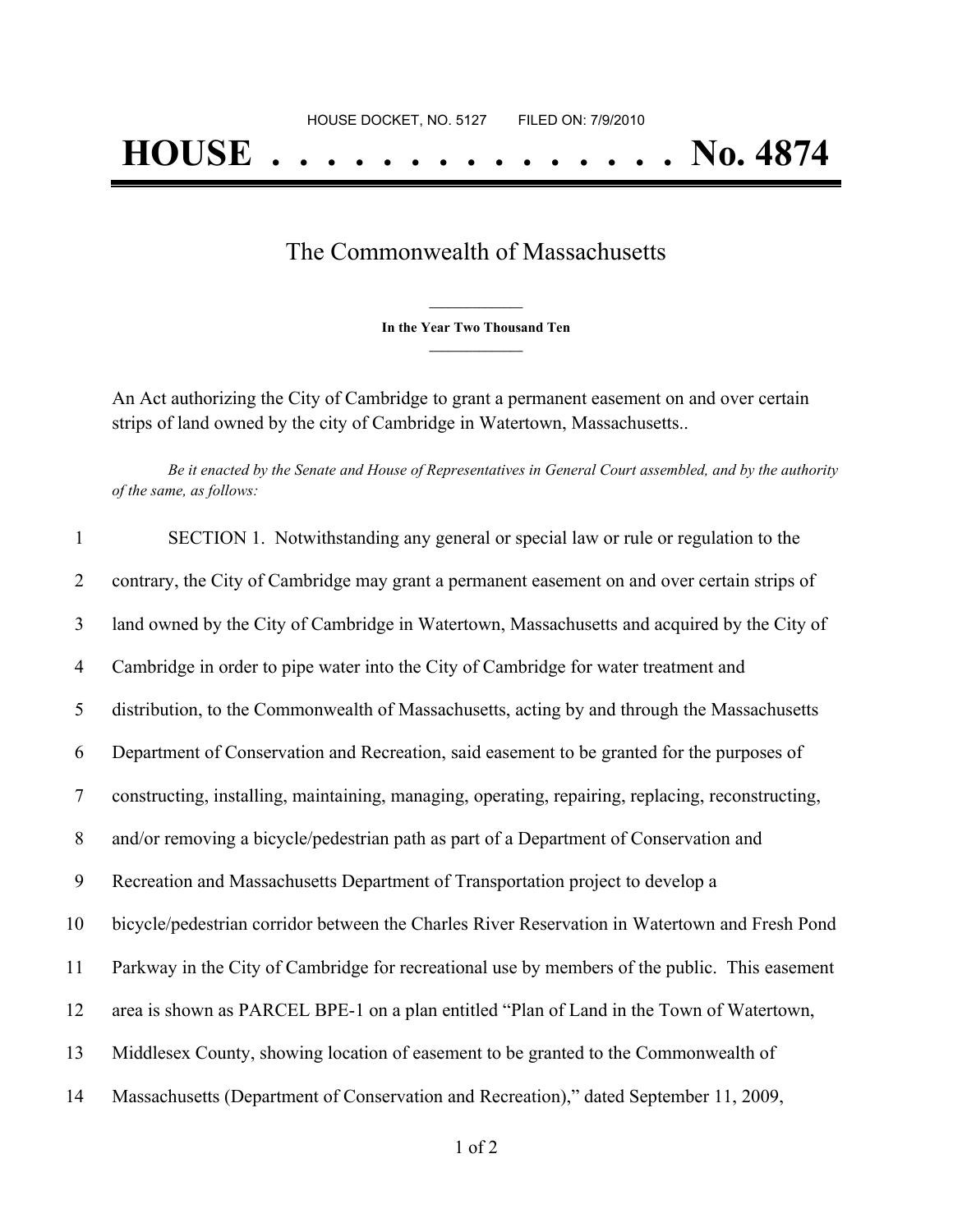## The Commonwealth of Massachusetts

**\_\_\_\_\_\_\_\_\_\_\_\_\_\_\_ In the Year Two Thousand Ten \_\_\_\_\_\_\_\_\_\_\_\_\_\_\_**

An Act authorizing the City of Cambridge to grant a permanent easement on and over certain strips of land owned by the city of Cambridge in Watertown, Massachusetts..

Be it enacted by the Senate and House of Representatives in General Court assembled, and by the authority *of the same, as follows:*

| $\mathbf{1}$   | SECTION 1. Notwithstanding any general or special law or rule or regulation to the                |
|----------------|---------------------------------------------------------------------------------------------------|
| 2              | contrary, the City of Cambridge may grant a permanent easement on and over certain strips of      |
| $\mathfrak{Z}$ | land owned by the City of Cambridge in Watertown, Massachusetts and acquired by the City of       |
| $\overline{4}$ | Cambridge in order to pipe water into the City of Cambridge for water treatment and               |
| 5              | distribution, to the Commonwealth of Massachusetts, acting by and through the Massachusetts       |
| 6              | Department of Conservation and Recreation, said easement to be granted for the purposes of        |
| $\tau$         | constructing, installing, maintaining, managing, operating, repairing, replacing, reconstructing, |
| 8              | and/or removing a bicycle/pedestrian path as part of a Department of Conservation and             |
| 9              | Recreation and Massachusetts Department of Transportation project to develop a                    |
| 10             | bicycle/pedestrian corridor between the Charles River Reservation in Watertown and Fresh Pond     |
| 11             | Parkway in the City of Cambridge for recreational use by members of the public. This easement     |
| 12             | area is shown as PARCEL BPE-1 on a plan entitled "Plan of Land in the Town of Watertown,          |
| 13             | Middlesex County, showing location of easement to be granted to the Commonwealth of               |
| 14             | Massachusetts (Department of Conservation and Recreation)," dated September 11, 2009,             |